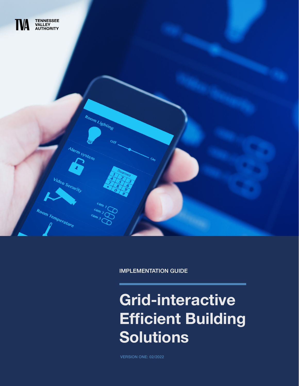

IMPLEMENTATION GUIDE

# Grid-interactive Efficient Building Solutions

VERSION ONE: 02/2022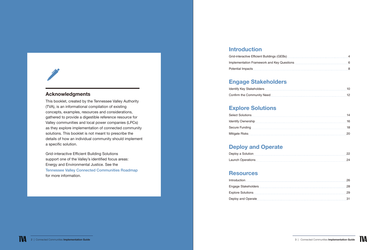

#### Acknowledgments

This booklet, created by the Tennessee Valley Authority (TVA), is an informational compilation of existing concepts, examples, resources and considerations, gathered to provide a digestible reference resource for Valley communities and local power companies (LPCs) as they explore implementation of connected community solutions. This booklet is not meant to prescribe the details of how an individual community should implement a specific solution.

| Identify Key Stakeholders  |  |
|----------------------------|--|
| Confirm the Community Need |  |

Grid-interactive Efficient Building Solutions support one of the Valley's identified focus areas: Energy and Environmental Justice. See the [Tennessee Valley Connected Communities Roadmap](https://indd.adobe.com/view/58cc4ef8-0dfb-40ab-89c5-612fccec1f90) for more information.

### [Introduction](#page-2-0)

| Grid-interactive Efficient Buildings (GE |
|------------------------------------------|
| Implementation Framework and Key Q       |
| Potential Impacts                        |

| Grid-interactive Efficient Buildings (GEBs) |  |
|---------------------------------------------|--|
| Implementation Framework and Key Questions  |  |
| Potential Impacts                           |  |

### [Engage Stakeholders](#page-5-0)

| <b>Identify Key Stakeholders</b> |  |
|----------------------------------|--|
| Confirm the Community Need       |  |

### [Explore Solutions](#page-7-0)

| <b>Select Solutions</b> |
|-------------------------|
| Identify Ownership      |
| Secure Funding          |
| Mitigate Risks          |

| Select Solutions   |  |
|--------------------|--|
| Identify Ownership |  |
| Secure Funding     |  |
| Mitigate Risks     |  |
|                    |  |

### [Deploy and Operate](#page-11-0)

| Deploy a Solution |
|-------------------|
| Launch Operations |

### **[Resources](#page-13-0)**

| Introduction        |
|---------------------|
| Engage Stakeholders |
| Explore Solutions   |
| Deploy and Operate  |

| Deploy a Solution |  |
|-------------------|--|
| Launch Operations |  |

| Introduction                                                                                                                                                                                                                   | 26 |
|--------------------------------------------------------------------------------------------------------------------------------------------------------------------------------------------------------------------------------|----|
| Engage Stakeholders [1982] [1983] [1983] [1984] [1984] [1984] [1984] [1984] [1984] [1984] [1984] [1984] [1984] [1984] [1984] [1984] [1984] [1984] [1984] [1984] [1984] [1984] [1984] [1984] [1984] [1984] [1984] [1984] [1984] | 28 |
| Explore Solutions                                                                                                                                                                                                              | 29 |
| Deploy and Operate                                                                                                                                                                                                             |    |

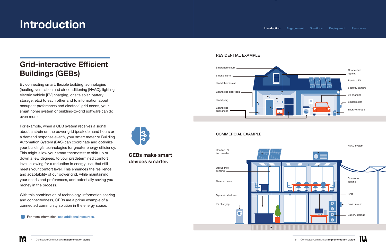#### RESIDENTIAL EXAMPLE

#### COMMERCIAL EXAMPLE





# <span id="page-2-0"></span>Introduction Introduction Introduction Introduction Introduction Introduction Introduction Introductions [Deployment](#page-11-0) [Resources](#page-13-0)





GEBs make smart devices smarter.

## Grid-interactive Efficient Buildings (GEBs)

By connecting smart, flexible building technologies (heating, ventilation and air conditioning [HVAC], lighting, electric vehicle [EV] charging, onsite solar, battery storage, etc.) to each other and to information about occupant preferences and electrical grid needs, your smart home system or building-to-grid software can do even more.

For example, when a GEB system receives a signal about a strain on the power grid (peak demand hours or a demand response event), your smart meter or Building Automation System (BAS) can coordinate and optimize your building's technologies for greater energy efficiency. This might allow your smart thermostat to shift up or down a few degrees, to your predetermined comfort level, allowing for a reduction in energy use, that still meets your comfort level. This enhances the resilience and adaptability of our power grid, while maintaining your needs and preferences, and potentially saving you money in the process.

With this combination of technology, information sharing and connectedness, GEBs are a prime example of a connected community solution in the energy space.

**f** For more information, [see additional resources.](#page-13-1)

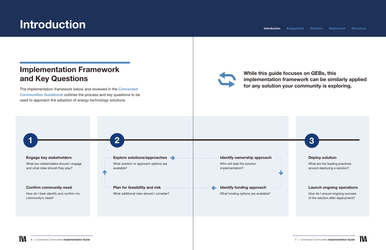### Implementation Framework and Key Questions

The implementation framework below and reviewed in the [Connected](https://tva-azr-eastus-cdn-ep-tvawcm-prd.azureedge.net/cdn-tvawcma/docs/default-source/energy/technology-innovation/connected-communities/connected-communities-guidebookee283bca-a07b-47f5-845d-6c957810f26e.pdf?sfvrsn=d1cce9d9_3)  [Communities Guidebook](https://tva-azr-eastus-cdn-ep-tvawcm-prd.azureedge.net/cdn-tvawcma/docs/default-source/energy/technology-innovation/connected-communities/connected-communities-guidebookee283bca-a07b-47f5-845d-6c957810f26e.pdf?sfvrsn=d1cce9d9_3) outlines the process and key questions to be used to approach the adoption of energy technology solutions.





# <span id="page-3-0"></span>Introduction

#### While this guide focuses on GEBs, this implementation framework can be similarly applied for any solution your community is exploring.

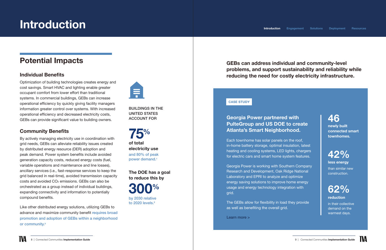# <span id="page-4-0"></span>Introduction

BUILDINGS IN THE UNITED STATES ACCOUNT FOR

300% [by 2030 relative](https://gebroadmap.lbl.gov/A%20National%20Roadmap%20for%20GEBs%20-%20Final.pdf)  [to 2020 levels.](https://gebroadmap.lbl.gov/A%20National%20Roadmap%20for%20GEBs%20-%20Final.pdf)<sup>2</sup>

75% of total electricity use [and 80% of peak](https://www.energy.gov/sites/default/files/2019/04/f62/bto-geb-factsheet-41119.pdf) [power demand.](https://www.energy.gov/sites/default/files/2019/04/f62/bto-geb-factsheet-41119.pdf)<sup>1</sup>

The DOE has a goal to reduce this by

## Potential Impacts

### Individual Benefits

Optimization of building technologies creates energy and cost savings. Smart HVAC and lighting enable greater occupant comfort from lower effort than traditional systems. In commercial buildings, GEBs can increase operational efficiency by quickly giving facility managers information greater control over systems. With increased operational efficiency and decreased electricity costs, GEBs can provide significant value to building owners.

Like other distributed energy solutions, utilizing GEBs to advance and maximize community benefit [requires broad](https://www.nrel.gov/docs/fy20osti/75528.pdf)  [promotion and adoption of GEBs within a neighborhood](https://www.nrel.gov/docs/fy20osti/75528.pdf)  [or community.](https://www.nrel.gov/docs/fy20osti/75528.pdf)<sup>3</sup>



### Community Benefits

By actively managing electricity use in coordination with grid needs, GEBs can alleviate reliability issues created by distributed energy resource (DER) adoption and peak demand. Power system benefits include avoided generation capacity costs, reduced energy costs (fuel, variable operations and maintenance and line losses), ancillary services (i.e., fast-response services to keep the grid balanced in real-time), avoided transmission capacity costs and avoided CO2 emissions. GEBs can also be orchestrated as a group instead of individual buildings, expanding connectivity and information to potentially compound benefits.

### Georgia Power partnered with PulteGroup and US DOE to create Atlanta's Smart Neighborhood.

Each townhome has solar panels on the roof, in-home battery storage, optimal insulation, latest heating and cooling systems, LED lights, chargers for electric cars and smart home system features.

Georgia Power is working with Southern Company Research and Development, Oak Ridge National Laboratory and EPRI to analyze and optimize energy saving solutions to improve home energy usage and energy technology integration with grid.

The GEBs allow for flexibility in load they provide as well as benefiting the overall grid.

[Learn more >](https://info.ornl.gov/sites/publications/Files/Pub161222.pdf) 

**[Introduction](#page-2-0)** [Engagement](#page-5-0) [Solutions](#page-7-0) [Deployment](#page-11-0) [Resources](#page-13-0)

### 46

newly built connected smart townhomes.



less energy than similar new construction.



reduction in their collective demand on the warmest days.



#### CASE STUDY

#### GEBs can address individual and community-level problems, and support sustainability and reliability while reducing the need for costly electricity infrastructure.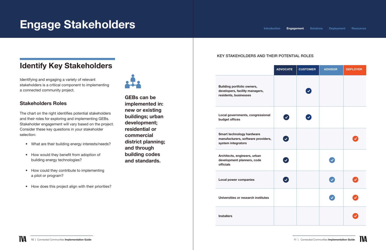# <span id="page-5-0"></span>Engage Stakeholders

## Identify Key Stakeholders

Identifying and engaging a variety of relevant stakeholders is a critical component to implementing a connected community project.



#### Stakeholders Roles

The chart on the right identifies potential stakeholders and their roles for exploring and implementing GEBs. Stakeholder engagement will vary based on the project. Consider these key questions in your stakeholder selection:

- What are their building energy interests/needs?
- How would they benefit from adoption of building energy technologies?
- How could they contribute to implementing a pilot or program?
- How does this project align with their priorities?

GEBs can be

implemented in: new or existing

buildings; urban

development; residential or

commercial

district planning;

and through

building codes and standards.

| <b>ADVOCATE</b> | <b>CUSTOMER</b> | <b>ADVISOR</b> | <b>DEPLOYER</b> |
|-----------------|-----------------|----------------|-----------------|
|                 | Ø               |                |                 |
|                 | Ø               |                |                 |
| $\bullet$       |                 |                | $\bullet$       |
| $\bullet$       |                 |                |                 |
| $\bullet$       |                 |                | Ø               |
|                 |                 |                | V               |
|                 |                 |                | V               |



Building portfolio owners, developers, facility managers, residents, businesses

> Local governments, congressional budget offices

Smart technology hardware manufacturers, software providers, system integrators

Architects, engineers, urban development planners, code officials

Local power companies

Universities or research institutes

**Installers** 

#### KEY STAKEHOLDERS AND THEIR POTENTIAL ROLES

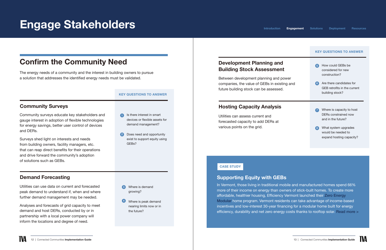# <span id="page-6-0"></span>Engage Stakeholders

## Confirm the Community Need

The energy needs of a community and the interest in building owners to pursue a solution that addresses the identified energy needs must be validated.

Community surveys educate key stakeholders and gauge interest in adoption of flexible technologies for energy savings, better user control of devices and DERs.

Surveys shed light on interests and needs from building owners, facility managers, etc. that can reap direct benefits for their operations and drive forward the community's adoption of solutions such as GEBs.

> 4 Where is peak demand nearing limits now or in the future?

#### KEY QUESTIONS TO ANSWER

Utilities can use data on current and forecasted peak demand to understand if, when and where further demand management may be needed.

Analyses and forecasts of grid capacity to meet demand and host DERs, conducted by or in partnership with a local power company will inform the locations and degree of need.

- Is there interest in smart devices or flexible assets for demand management?
- 2 Does need and opportunity exist to support equity using GFB<sub>s</sub>?

3 Where is demand growing?

Utilities can assess current and forecasted capacity to add DERs at various points on the grid.

Between development planning and power companies, the value of GEBs in existing and future building stock can be assessed.

#### Supporting Equity with GEBs





In Vermont, those living in traditional mobile and manufactured homes spend 66% more of their income on energy than owners of stick-built homes. To create more affordable, healthier housing, Efficiency Vermont launched their [Zero Energy](https://www.efficiencyvermont.com/services/income-based-assistance/mobile-home-replacement) [Modular](https://www.efficiencyvermont.com/services/income-based-assistance/mobile-home-replacement) home program. Vermont residents can take advantage of income-based incentives and low-interest 30-year financing for a modular home built for energy efficiency, durability and net zero energy costs thanks to rooftop solar. [Read more](https://www.efficiencyvermont.com/news-blog/news/first-zero-energy-modular-home-in-burlington-delivered-to-north-ave-community) >

#### CASE STUDY

#### Community Surveys

#### Demand Forecasting

#### Development Planning and Building Stock Assessment

#### Hosting Capacity Analysis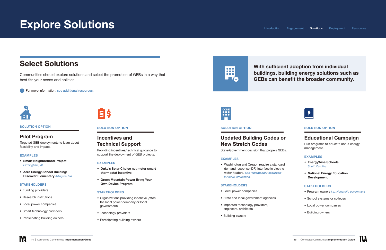### <span id="page-7-0"></span>Select Solutions

Communities should explore solutions and select the promotion of GEBs in a way that best fits your needs and abilities.

**For more information, [see additional resources.](#page-13-1)** 



#### SOLUTION OPTION

#### Pilot Program

Targeted GEB deployments to learn about feasibility and impact.

#### EXAMPLES

- Smart Neighborhood Project *Birmingham, AL*
- Zero Energy School Building: Discover Elementary *Arlington, VA*

#### **STAKEHOLDERS**

- Funding providers
- Research institutions
- Local power companies
- Smart technology providers
- Participating building owners

# **EIS**

#### SOLUTION OPTION

#### Incentives and Technical Support

Providing incentives/technical guidance to support the deployment of GEB projects.

#### EXAMPLES

- Program owners *i.e.*, Nonprofit, government
- School systems or colleges
- Local power companies
- Building owners



- Duke's Solar Choice net meter smart thermostat incentive
- Green Mountain Power Bring Your Own Device Program

#### **STAKEHOLDERS**

- Organizations providing incentive (often the local power company or local government)
- Technology providers
- Participating building owners

## m **TO**



### With sufficient adoption from individual buildings, building energy solutions such as GEBs can benefit the broader community.



#### SOLUTION OPTION

#### Educational Campaign

Run programs to educate about energy management.

#### EXAMPLES

- EnergyWise Schools South Carolina
- National Energy Education Development

#### STAKEHOLDERS

#### SOLUTION OPTION

### Updated Building Codes or New Stretch Codes

State/Government decision that propels GEBs.

#### EXAMPLES

• Washington and Oregon require a standard demand response (DR) interface in electric water heaters. *See "[Additional Resources](#page-13-0)" [for more information.](#page-13-0)*

#### STAKEHOLDERS

- Local power companies
- State and local government agencies
- Impacted technology providers, engineers, architects
- Building owners

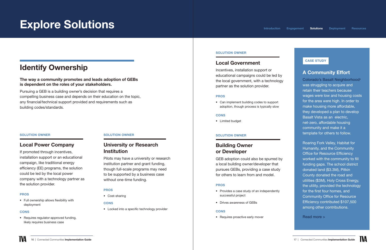## <span id="page-8-0"></span>Identify Ownership

#### The way a community promotes and leads adoption of GEBs is dependent on the roles of your stakeholders.

Pursuing a GEB is a building owner's decision that requires a compelling business case and depends on their education on the topic, any financial/technical support provided and requirements such as building codes/standards.

#### SOLUTION OWNER

#### Local Power Company

#### University or Research **Institution**

If promoted through incentives, installation support or an educational campaign, like traditional energy efficiency (EE) programs, the solution could be led by the local power company with a technology partner as the solution provider.

#### PROS

• Full ownership allows flexibility with deployment

#### **CONS**

• Requires regulator-approved funding, likely requires business case

#### SOLUTION OWNER

Pilots may have a university or research institution partner and grant funding, though full-scale programs may need to be supported by a business case without one-time funding.

#### PROS

• Cost-sharing

#### **CONS**

• Locked into a specific technology provider

#### A Community Effort

[Colorado's Basalt Neighborhood4](https://www.swenergy.org/colorado’s-basalt-vista-neighborhood-“a-net-zero-affordable-housing-community”-1) was struggling to acquire and retain their teachers because wages were low and housing costs for the area were high. In order to make housing more affordable, they developed a plan to develop Basalt Vista as an electric, net-zero, affordable housing community and make it a template for others to follow.

Roaring Fork Valley, Habitat for Humanity, and the Community Office for Resource Efficiency worked with the community to fill funding gaps. The school district donated land (\$3.3M), Pitkin County donated the road and utilities (\$3M), Holy Cross Energy, the utility, provided the technology for the first four homes, and Community Office for Resource Efficiency contributed \$107,500 among other contributions.

[Read more >](https://www.swenergy.org/colorado’s-basalt-vista-neighborhood-“a-net-zero-affordable-housing-community”-1)



#### CASE STUDY

#### SOLUTION OWNER

#### Building Owner or Developer

GEB adoption could also be spurred by a local building owner/developer that pursues GEBs, providing a case study for others to learn from and model.

#### PROS

- Provides a case study of an independently successful project
- Drives awareness of GEBs

#### **CONS**

• Requires proactive early mover

#### SOLUTION OWNER

#### Local Government

Incentives, installation support or educational campaigns could be led by the local government, with a technology partner as the solution provider.

#### PROS

• Can implement building codes to support adoption, though process is typically slow

#### **CONS**

• Limited budget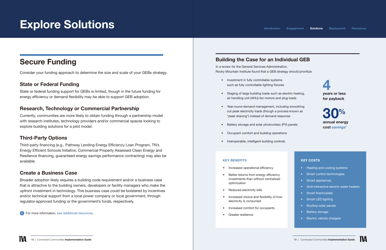## <span id="page-9-0"></span>Secure Funding

Consider your funding approach to determine the size and scale of your GEBs strategy.

#### State or Federal Funding

State or federal funding support for GEBs is limited, though in the future funding for energy efficiency or demand flexibility may be able to support GEB adoption.

#### Research, Technology or Commercial Partnership

Currently, communities are more likely to obtain funding through a partnership model with research institutes, technology providers and/or commercial spaces looking to explore building solutions for a pilot model.

#### Third-Party Options

Third-party financing (e.g., Pathway Lending Energy Efficiency Loan Program, TN's Energy Efficient Schools Initiative, Commercial Property Assessed Clean Energy and Resilience financing, guaranteed energy savings performance contracting) may also be available.

#### Create a Business Case

Broader adoption likely requires a building code requirement and/or a business case that is attractive to the building owners, developers or facility managers who make the upfront investment in technology. This business case could be bolstered by incentives and/or technical support from a local power company or local government, through regulator-approved funding or the government's funds, respectively.

For more information, [see additional resources.](#page-13-1)

#### KEY COSTS

- Heating and cooling systems
- Smart control technologies
- Smart appliances
- Grid-interactive electric water heaters
- Smart thermostats
- Smart LED lighting
- Rooftop solar panels
- Battery storage
- Electric vehicle chargers

### Building the Case for an Individual GEB

In a review for the General Services Administration, Rocky Mountain Institute found that a GEB strategy should prioritize:

- Investment in fully controllable systems such as fully controllable lighting fixtures
- Staging of large building loads such as electric heating, air handling unit (AHU) fan motors and plug loads
- Year-round demand management, including smoothing out peak electricity loads (though a process known as "peak shaving") instead of demand response
- Battery storage and solar photovoltaic (PV) panels
- Occupant comfort and building operations
- Interoperable, intelligent building controls





#### KEY BENEFITS

- Increased operational efficiency
- Better returns from energy efficiency investments than without centralized optimization
- Reduced electricity bills
- Increased choice and flexibility of how electricity is consumed
- Increased comfort for occupants
- Greater resilience

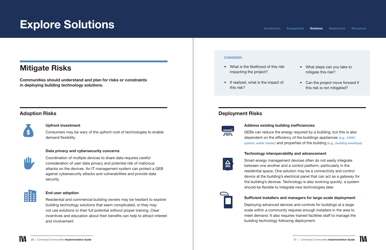### <span id="page-10-0"></span>Mitigate Risks

Communities should understand and plan for risks or constraints in deploying building technology solutions.

#### Upfront investment

Consumers may be wary of the upfront cost of technologies to enable demand flexibility.

#### Data privacy and cybersecurity concerns



Coordination of multiple devices to share data requires careful consideration of user data privacy and potential risk of malicious attacks on the devices. An IT management system can protect a GEB against cybersecurity attacks and vulnerabilities and provide data security.



#### End user adoption

Residential and commercial building owners may be hesitant to explore building technology solutions that seem complicated, or they may not use solutions to their full potential without proper training. Clear incentives and education about their benefits can help to attract interest and involvement.

#### Adoption Risks



#### Address existing building inefficiencies

- What is the likelihood of this risk impacting the project?
- If realized, what is the impact of this risk?

GEBs can reduce the energy required by a building, but this is also dependent on the efficiency of the buildings appliances *(e.g., HVAC system, water heater)* and properties of the building *(e.g., building envelope).*

#### Technology interoperability and advancement

Smart energy management devices often do not easily integrate between one another and a control platform, particularly in the residential space. One solution may be a connectivity and control device at the building's electrical panel that can act as a gateway for the building's devices. Technology is also evolving quickly; a system should be flexible to integrate new technologies later.

#### Sufficient installers and managers for large-scale deployment

Deploying advanced devices and controls for buildings at a largescale within a community requires enough installers in the area to meet demand. It also requires trained facilities staff to manage the building technology following deployment.



#### 20 | Connected Communities Implementation Guide **21 | Connected Communities Implementation Guide** 21 | Connected Communities Implementation Guide





#### Deployment Risks

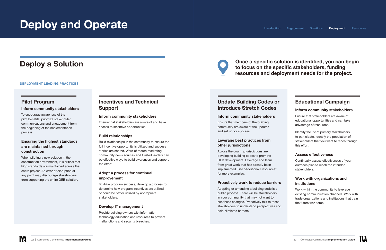# <span id="page-11-0"></span>Deploy and Operate

### Deploy a Solution

#### DEPLOYMENT LEADING PRACTICES:

#### Pilot Program

#### Inform community stakeholders

To encourage awareness of the pilot benefits, prioritize stakeholder communications and engagement from the beginning of the implementation process.

#### Ensuring the highest standards are maintained through construction

When piloting a new solution in the construction environment, it is critical that high standards are maintained across the entire project. An error or disruption at any point may discourage stakeholders from supporting the entire GEB solution.

#### Incentives and Technical Support

#### Inform community stakeholders

Ensure that stakeholders are aware of and have access to incentive opportunities.

#### Build relationships

Build relationships in the community to ensure the full incentive opportunity is utilized and success stories are shared. Word of mouth marketing, community news sources and trusted leaders can be effective ways to build awareness and support the effort.

#### Adopt a process for continual improvement

To drive program success, develop a process to determine how program incentives are utilized or could be better utilized by appropriate stakeholders.

#### Develop IT management

Provide building owners with information technology education and resources to prevent malfunctions and security breaches.



#### Update Building Codes or Introduce Stretch Codes

#### Inform community stakeholders

Ensure that members of the building community are aware of the updates and set up for success.

#### Leverage best practices from other jurisdictions

Across the country, jurisdictions are developing building codes to promote GEB development. Leverage and learn from great work that has already been implemented. See "Additional Resources" for more examples.

#### Proactively work to reduce barriers

Adopting or amending a building code is a public process. There will be stakeholders in your community that may not want to see these changes. Proactively talk to these stakeholders to understand perspectives and help eliminate barriers.

### Educational Campaign

#### Inform community stakeholders

Ensure that stakeholders are aware of educational opportunities and can take advantage of resources.

Identify the list of primary stakeholders to participate. Identify the population of stakeholders that you want to reach through this effort.

#### Assess effectiveness

Continually assess effectiveness of your outreach plan to reach the intended stakeholders.

#### Work with organizations and institutions

Work within the community to leverage existing communication channels. Work with trade organizations and institutions that train the future workforce.

#### [Introduction](#page-2-0) [Engagement](#page-5-0) [Solutions](#page-7-0) Deployment [Resources](#page-13-0)

#### Once a specific solution is identified, you can begin to focus on the specific stakeholders, funding resources and deployment needs for the project.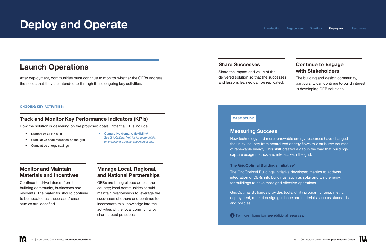# <span id="page-12-0"></span>Deploy and Operate

### Launch Operations

After deployment, communities must continue to monitor whether the GEBs address the needs that they are intended to through these ongoing key activities.

#### Monitor and Maintain Materials and Incentives

Continue to drive interest from the building community, businesses and residents. The materials should continue to be updated as successes / case studies are identified.

#### Manage Local, Regional, and National Partnerships

• [Cumulative demand flexibility](https://newbuildings.org/wp-content/uploads/2020/11/NewMetricsForEvaluatingBuildingGridIntegration.pdf)<sup>6</sup> *See GridOptimal Metrics for more details on* evaluating building-grid interactions.

GEBs are being piloted across the country; local communities should maintain relationships to leverage the successes of others and continue to incorporate this knowledge into the activities of the local community by sharing best practices.

### Track and Monitor Key Performance Indicators (KPIs)

How the solution is delivering on the proposed goals. Potential KPIs include:

[The GridOptimal Buildings Initiative](https://newbuildings.org/gridoptimal-metrics-offer-guidance-on-optimizing-building-grid-interaction)<sup>7</sup> The GridOptimal Buildings Initiative developed metrics to address integration of DERs into buildings, such as solar and wind energy, for buildings to have more grid effective operations.

- Number of GEBs built
- Cumulative peak reduction on the grid
- Cumulative energy savings

#### Share Successes

Share the impact and value of the delivered solution so that the successes and lessons learned can be replicated. The building and design community, particularly, can continue to build interest in developing GEB solutions.

#### Continue to Engage with Stakeholders



#### ONGOING KEY ACTIVITIES:

#### Measuring Success

New technology and more renewable energy resources have changed the utility industry from centralized energy flows to distributed sources of renewable energy. This shift created a gap in the way that buildings capture usage metrics and interact with the grid.

GridOptimal Buildings provides tools, utility program criteria, metric deployment, market design guidance and materials such as standards and policies.

**f** For more information, [see additional resources.](#page-13-1)

| ۰ |  |  |
|---|--|--|
|   |  |  |
|   |  |  |

#### CASE STUDY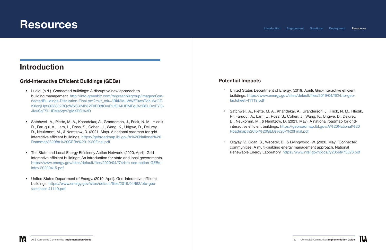# <span id="page-13-1"></span><span id="page-13-0"></span>**Resources**

### Introduction

#### Grid-interactive Efficient Buildings (GEBs)

- Lucid. (n.d.). Connected buildings: A disruptive new approach to building management. [http://info.greenbiz.com/rs/greenbizgroup/images/Con](http://info.greenbiz.com/rs/greenbizgroup/images/ConnectedBuildings-Disruption-Final.pdf?mkt_tok=3RkMMJWWfF9wsRohu6zOZKXonjHpfsX66%2BQoW6G3lMI%2F0ER3fOvrPUfGjI4HRMFqI%2BSLDwEYGJlv6SgFSLHEMa5qw7gMXRQ%3D)[nectedBuildings-Disruption-Final.pdf?mkt\\_tok=3RkMMJWWfF9wsRohu6zOZ](http://info.greenbiz.com/rs/greenbizgroup/images/ConnectedBuildings-Disruption-Final.pdf?mkt_tok=3RkMMJWWfF9wsRohu6zOZKXonjHpfsX66%2BQoW6G3lMI%2F0ER3fOvrPUfGjI4HRMFqI%2BSLDwEYGJlv6SgFSLHEMa5qw7gMXRQ%3D)-[KXonjHpfsX66%2BQoW6G3lMI%2F0ER3fOvrPUfGjI4HRMFqI%2BSLDwEYG](http://info.greenbiz.com/rs/greenbizgroup/images/ConnectedBuildings-Disruption-Final.pdf?mkt_tok=3RkMMJWWfF9wsRohu6zOZKXonjHpfsX66%2BQoW6G3lMI%2F0ER3fOvrPUfGjI4HRMFqI%2BSLDwEYGJlv6SgFSLHEMa5qw7gMXRQ%3D)-[Jlv6SgFSLHEMa5qw7gMXRQ%3D](http://info.greenbiz.com/rs/greenbizgroup/images/ConnectedBuildings-Disruption-Final.pdf?mkt_tok=3RkMMJWWfF9wsRohu6zOZKXonjHpfsX66%2BQoW6G3lMI%2F0ER3fOvrPUfGjI4HRMFqI%2BSLDwEYGJlv6SgFSLHEMa5qw7gMXRQ%3D)
- Satchwell, A., Piette, M. A., Khandekar, A., Granderson, J., Frick, N. M., Hledik, R., Faruqui, A., Lam, L., Ross, S., Cohen, J., Wang, K., Urigwe, D., Delurey, D., Neukomm, M., & Nemtzow, D. (2021, May). A national roadmap for gridinteractive efficient buildings. [https://gebroadmap.lbl.gov/A%20National%20](https://gebroadmap.lbl.gov/A%20National%20Roadmap%20for%20GEBs%20-%20Final.pdf) [Roadmap%20for%20GEBs%20-%20Final.pdf](https://gebroadmap.lbl.gov/A%20National%20Roadmap%20for%20GEBs%20-%20Final.pdf)
- The State and Local Energy Efficiency Action Network. (2020, April). Gridinteractive efficient buildings: An introduction for state and local governments. [https://www.energy.gov/sites/default/files/2020/04/f74/bto-see-action-GEBs](https://www.energy.gov/sites/default/files/2020/04/f74/bto-see-action-GEBs-intro-20200415.pdf)[intro-20200415.pdf](https://www.energy.gov/sites/default/files/2020/04/f74/bto-see-action-GEBs-intro-20200415.pdf)
- United States Department of Energy. (2019, April). Grid-interactive efficient buildings. [https://www.energy.gov/sites/default/files/2019/04/f62/bto-geb](https://www.energy.gov/sites/default/files/2019/04/f62/bto-geb-factsheet-41119.pdf)[factsheet-41119.pdf](https://www.energy.gov/sites/default/files/2019/04/f62/bto-geb-factsheet-41119.pdf)

<sup>2</sup> Satchwell, A., Piette, M. A., Khandekar, A., Granderson, J., Frick, N. M., Hledik, R., Faruqui, A., Lam, L., Ross, S., Cohen, J., Wang, K., Urigwe, D., Delurey, D., Neukomm, M., & Nemtzow, D. (2021, May). A national roadmap for gridinteractive efficient buildings. [https://gebroadmap.lbl.gov/A%20National%20](https://gebroadmap.lbl.gov/A%20National%20Roadmap%20for%20GEBs%20-%20Final.pdf)

#### Potential Impacts

<sup>1</sup> United States Department of Energy. (2019, April). Grid-interactive efficient buildings. [https://www.energy.gov/sites/default/files/2019/04/f62/bto-geb-](https://www.energy.gov/sites/default/files/2019/04/f62/bto-geb-factsheet-41119.pdf)

- [factsheet-41119.pdf](https://www.energy.gov/sites/default/files/2019/04/f62/bto-geb-factsheet-41119.pdf)
- [Roadmap%20for%20GEBs%20-%20Final.pdf](https://gebroadmap.lbl.gov/A%20National%20Roadmap%20for%20GEBs%20-%20Final.pdf)
- 

<sup>3</sup> Olgyay, V., Coan, S., Webster, B., & Livingwood, W. (2020, May). Connected communities: A multi-building energy management approach. National Renewable Energy Laboratory. <https://www.nrel.gov/docs/fy20osti/75528.pdf>



[Introduction](#page-2-0) [Engagement](#page-5-0) [Solutions](#page-7-0) [Deployment](#page-11-0) Resources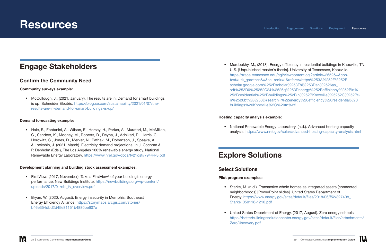## <span id="page-14-0"></span>**Resources**

### Engage Stakeholders

#### Confirm the Community Need

#### Community surveys example:

• McCullough, J., (2021, January). The results are in: Demand for smart buildings is up. Schneider Electric. [https://blog.se.com/sustainability/2021/01/07/the](https://blog.se.com/sustainability/2021/01/07/the-results-are-in-demand-for-smart-buildings-is-up/)[results-are-in-demand-for-smart-buildings-is-up/](https://blog.se.com/sustainability/2021/01/07/the-results-are-in-demand-for-smart-buildings-is-up/)

#### Demand forecasting example:

• Hale, E., Fontanini, A., Wilson, E., Horsey, H., Parker, A., Muratori, M., McMillan, C., Sanders, K., Mooney, M., Roberts, D., Reyna, J., Adhikari, R., Harris, C., Horowitz, S., Jones, D., Merket, N., Pathak, M., Robertson, J., Speake, A… & Lockshin, J. (2021, March). Electricity demand projections. In J. Cochran & P. Denholm (Eds.), The Los Angeles 100% renewable energy study. National Renewable Energy Laboratory. <https://www.nrel.gov/docs/fy21osti/79444-3.pdf>

- FirstView. (2017, November). Take a FirstView<sup>®</sup> of your building's energy performance. New Buildings Institute. [https://newbuildings.org/wp-content/](https://newbuildings.org/wp-content/uploads/2017/01/nbi_fv_overview.pdf) [uploads/2017/01/nbi\\_fv\\_overview.pdf](https://newbuildings.org/wp-content/uploads/2017/01/nbi_fv_overview.pdf)
- Bryan, W. (2020, August). Energy insecurity in Memphis. Southeast Energy Efficiency Alliance. [https://storymaps.arcgis.com/stories/](https://storymaps.arcgis.com/stories/b46e354dbd2d4ffe81151b4880be607a) [b46e354dbd2d4ffe81151b4880be607a](https://storymaps.arcgis.com/stories/b46e354dbd2d4ffe81151b4880be607a)

#### Development planning and building stock assessment examples:

• National Renewable Energy Laboratory. (n.d.). Advanced hosting capacity analysis. <https://www.nrel.gov/solar/advanced-hosting-capacity-analysis.html>

• Mardookhy, M., (2013). Energy efficiency in residential buildings in Knoxville, TN, U.S. [Unpublished master's thesis]. University of Tennessee, Knoxville.

[https://trace.tennessee.edu/cgi/viewcontent.cgi?article=2652&=&con](https://trace.tennessee.edu/cgi/viewcontent.cgi?article=2652&=&context=utk_gradthes&=&sei-redir=1&referer=https%253A%252F%252Fscholar.google.com%252Fscholar%253Fhl%253Den%2526as_sdt%253D0%25252C24%2526q%253Denergy%252Befficiency%252Bin%252Bresidential%252Bbuildings%252Bin%252BKnoxville%25252C%252Btn%2526btnG%253D#search=%22energy%20efficiency%20residential%20buildings%20Knoxville%2C%20tn%22)-

[text=utk\\_gradthes&=&sei-redir=1&referer=https%253A%252F%252F](https://trace.tennessee.edu/cgi/viewcontent.cgi?article=2652&=&context=utk_gradthes&=&sei-redir=1&referer=https%253A%252F%252Fscholar.google.com%252Fscholar%253Fhl%253Den%2526as_sdt%253D0%25252C24%2526q%253Denergy%252Befficiency%252Bin%252Bresidential%252Bbuildings%252Bin%252BKnoxville%25252C%252Btn%2526btnG%253D#search=%22energy%20efficiency%20residential%20buildings%20Knoxville%2C%20tn%22)-

[sdt%253D0%25252C24%2526q%253Denergy%252Befficiency%252Bin%](https://trace.tennessee.edu/cgi/viewcontent.cgi?article=2652&=&context=utk_gradthes&=&sei-redir=1&referer=https%253A%252F%252Fscholar.google.com%252Fscholar%253Fhl%253Den%2526as_sdt%253D0%25252C24%2526q%253Denergy%252Befficiency%252Bin%252Bresidential%252Bbuildings%252Bin%252BKnoxville%25252C%252Btn%2526btnG%253D#search=%22energy%20efficiency%20residential%20buildings%20Knoxville%2C%20tn%22)

[scholar.google.com%252Fscholar%253Fhl%253Den%2526as\\_](https://trace.tennessee.edu/cgi/viewcontent.cgi?article=2652&=&context=utk_gradthes&=&sei-redir=1&referer=https%253A%252F%252Fscholar.google.com%252Fscholar%253Fhl%253Den%2526as_sdt%253D0%25252C24%2526q%253Denergy%252Befficiency%252Bin%252Bresidential%252Bbuildings%252Bin%252BKnoxville%25252C%252Btn%2526btnG%253D#search=%22energy%20efficiency%20residential%20buildings%20Knoxville%2C%20tn%22) [buildings%20Knoxville%2C%20tn%22](https://trace.tennessee.edu/cgi/viewcontent.cgi?article=2652&=&context=utk_gradthes&=&sei-redir=1&referer=https%253A%252F%252Fscholar.google.com%252Fscholar%253Fhl%253Den%2526as_sdt%253D0%25252C24%2526q%253Denergy%252Befficiency%252Bin%252Bresidential%252Bbuildings%252Bin%252BKnoxville%25252C%252Btn%2526btnG%253D#search=%22energy%20efficiency%20residential%20buildings%20Knoxville%2C%20tn%22)

[252Bresidential%252Bbuildings%252Bin%252BKnoxville%25252C%252Bt](https://trace.tennessee.edu/cgi/viewcontent.cgi?article=2652&=&context=utk_gradthes&=&sei-redir=1&referer=https%253A%252F%252Fscholar.google.com%252Fscholar%253Fhl%253Den%2526as_sdt%253D0%25252C24%2526q%253Denergy%252Befficiency%252Bin%252Bresidential%252Bbuildings%252Bin%252BKnoxville%25252C%252Btn%2526btnG%253D#search=%22energy%20efficiency%20residential%20buildings%20Knoxville%2C%20tn%22)-

[n%2526btnG%253D#search=%22energy%20efficiency%20residential%20](https://trace.tennessee.edu/cgi/viewcontent.cgi?article=2652&=&context=utk_gradthes&=&sei-redir=1&referer=https%253A%252F%252Fscholar.google.com%252Fscholar%253Fhl%253Den%2526as_sdt%253D0%25252C24%2526q%253Denergy%252Befficiency%252Bin%252Bresidential%252Bbuildings%252Bin%252BKnoxville%25252C%252Btn%2526btnG%253D#search=%22energy%20efficiency%20residential%20buildings%20Knoxville%2C%20tn%22)

#### Hosting capacity analysis example:

### Explore Solutions

#### Select Solutions

#### Pilot program examples:

• Starke, M. (n.d.). Transactive whole homes as integrated assets (connected neighborhoods) [PowerPoint slides]. United States Department of Energy. [https://www.energy.gov/sites/default/files/2018/06/f52/32740b\\_](https://www.energy.gov/sites/default/files/2018/06/f52/32740b_Starke_050118-1210.pdf)

- [Starke\\_050118-1210.pdf](https://www.energy.gov/sites/default/files/2018/06/f52/32740b_Starke_050118-1210.pdf)
- [ZeroDiscovery.pdf](https://betterbuildingssolutioncenter.energy.gov/sites/default/files/attachments/ZeroDiscovery.pdf)

• United States Department of Energy. (2017, August). Zero energy schools. [https://betterbuildingssolutioncenter.energy.gov/sites/default/files/attachments/](https://betterbuildingssolutioncenter.energy.gov/sites/default/files/attachments/ZeroDiscovery.pdf)



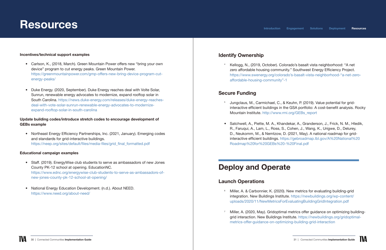# <span id="page-15-0"></span>**Resources**

#### Incentives/technical support examples

- Carlson, K., (2018, March). Green Mountain Power offers new "bring your own device" program to cut energy peaks. Green Mountain Power. [https://greenmountainpower.com/gmp-offers-new-bring-device-program-cut](https://greenmountainpower.com/gmp-offers-new-bring-device-program-cut-energy-peaks/)[energy-peaks/](https://greenmountainpower.com/gmp-offers-new-bring-device-program-cut-energy-peaks/)
- Duke Energy. (2020, September). Duke Energy reaches deal with Volte Solar, Sunrun, renewable energy advocates to modernize, expand rooftop solar in South Carolina. [https://news.duke-energy.com/releases/duke-energy-reaches](https://news.duke-energy.com/releases/duke-energy-reaches-deal-with-vote-solar-sunrun-renewable-energy-advocates-to-modernize-expand-rooftop-solar-in-south-carolina)[deal-with-vote-solar-sunrun-renewable-energy-advocates-to-modernize](https://news.duke-energy.com/releases/duke-energy-reaches-deal-with-vote-solar-sunrun-renewable-energy-advocates-to-modernize-expand-rooftop-solar-in-south-carolina)[expand-rooftop-solar-in-south-carolina](https://news.duke-energy.com/releases/duke-energy-reaches-deal-with-vote-solar-sunrun-renewable-energy-advocates-to-modernize-expand-rooftop-solar-in-south-carolina)

#### Update building codes/introduce stretch codes to encourage development of GEBs example

• Northeast Energy Efficiency Partnerships, Inc. (2021, January). Emerging codes and standards for grid-interactive buildings. [https://neep.org/sites/default/files/media-files/grid\\_final\\_formatted.pdf](https://neep.org/sites/default/files/media-files/grid_final_formatted.pdf)

#### Educational campaign examples

- Staff. (2019). EnergyWise club students to serve as ambassadors of new Jones County PK-12 school at opening. EducationNC. [https://www.ednc.org/energywise-club-students-to-serve-as-ambassadors-of](https://www.ednc.org/energywise-club-students-to-serve-as-ambassadors-of-new-jones-county-pk-12-school-at-opening/)[new-jones-county-pk-12-school-at-opening/](https://www.ednc.org/energywise-club-students-to-serve-as-ambassadors-of-new-jones-county-pk-12-school-at-opening/)
- National Energy Education Development. (n.d.). About NEED. <https://www.need.org/about-need/>

<sup>6</sup> Miller, A. & Carbonnier, K. (2020). New metrics for evaluating building-grid integration. New Buildings Institute. [https://newbuildings.org/wp-content/](https://newbuildings.org/wp-content/uploads/2020/11/NewMetricsForEvaluatingBuildingGridIntegration.pdf) [uploads/2020/11/NewMetricsForEvaluatingBuildingGridIntegration.pdf](https://newbuildings.org/wp-content/uploads/2020/11/NewMetricsForEvaluatingBuildingGridIntegration.pdf)

Miller, A. (2020, May). Gridoptimal metrics offer guidance on optimizing buildinggrid interaction. New Buildings Institute. [https://newbuildings.org/gridoptimal-](https://newbuildings.org/gridoptimal-metrics-offer-guidance-on-optimizing-building-grid-interaction)



### Identify Ownership

<sup>4</sup>Kellogg, N., (2019, October). Colorado's basalt vista neighborhood: "A net zero affordable housing community." Southwest Energy Efficiency Project. [https://www.swenergy.org/colorado's-basalt-vista-neighborhood-"a-net-zero-](https://www.swenergy.org/colorado’s-basalt-vista-neighborhood-“a-net-zero-affordable-housing-community”-1)

[affordable-housing-community"-1](https://www.swenergy.org/colorado’s-basalt-vista-neighborhood-“a-net-zero-affordable-housing-community”-1)

#### Secure Funding

5 Jungclaus, M., Carmichael, C., & Keuhn, P. (2019). Value potential for gridinteractive efficient buildings in the GSA portfolio: A cost-benefit analysis. Rocky

- Mountain Institute. [http://www.rmi.org/GEBs\\_report](http://www.rmi.org/GEBs_report)
- [Roadmap%20for%20GEBs%20-%20Final.pdf](https://gebroadmap.lbl.gov/A%20National%20Roadmap%20for%20GEBs%20-%20Final.pdf)

• Satchwell, A., Piette, M. A., Khandekar, A., Granderson, J., Frick, N. M., Hledik, R., Faruqui, A., Lam, L., Ross, S., Cohen, J., Wang, K., Urigwe, D., Delurey, D., Neukomm, M., & Nemtzow, D. (2021, May). A national roadmap for gridinteractive efficient buildings. [https://gebroadmap.lbl.gov/A%20National%20](https://gebroadmap.lbl.gov/A%20National%20Roadmap%20for%20GEBs%20-%20Final.pdf)

## Deploy and Operate

#### Launch Operations

- 
- [metrics-offer-guidance-on-optimizing-building-grid-interaction](https://newbuildings.org/gridoptimal-metrics-offer-guidance-on-optimizing-building-grid-interaction)